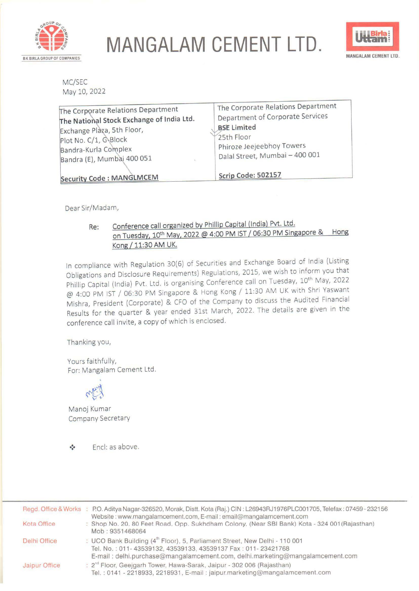

**MANGALAM CEMENT LTD.** BK BIRLA GROUP OF COMPANIES **MANGALAM** CEMENT LTD .



MC/SEC May 10, 2022

| The Corporate Relations Department<br>The National Stock Exchange of India Ltd.<br>Exchange Plàza, 5th Floor, | The Corporate Relations Department<br>Department of Corporate Services<br><b>BSE Limited</b><br>25th Floor |
|---------------------------------------------------------------------------------------------------------------|------------------------------------------------------------------------------------------------------------|
| Plot No. C/1, G-Block<br>Bandra-Kurla Complex<br>Bandra (E), Mumbai 400 051                                   | Phiroze Jeejeebhoy Towers<br>Dalal Street, Mumbai - 400 001                                                |
| <b>Security Code: MANGLMCEM</b>                                                                               | Scrip Code: 502157                                                                                         |

Dear Sir/Madam,

### **Re:** Conference call organized by Phillip Capital (India) Pvt. Ltd. on Tuesday, 10<sup>th</sup> May, 2022 @ 4:00 PM IST / 06:30 PM Singapore & Hong **Kong/ 11:30 AM UK.**

In compliance with Regulation 30(6) of Securities and Exchange Board of India (Listing Obligations and Disclosure Requirements) Regulations, 2015, we wish to inform you that Phillip Capital (India) Pvt. Ltd. is organising Conference call on Tuesday, 10<sup>th</sup> May, 2022 @ 4:00 PM 1ST / 06:30 PM Singapore & Hong Kong/ 11:30 AM UK with Shri Yaswant Mishra, President (Corporate) & CFO of the Company to discuss the Audited Financial Results for the quarter & year ended 31st March, 2022. The details are given in the conference call invite, a copy of which is enclosed.

Thanking you,

Yours faithfully, For: Mangalam Cement Ltd.



Manoj Kumar Company Secretary

Encl: as above.  $\bullet^{\bullet}$ 

|               | Regd. Office & Works : P.O. Aditya Nagar-326520, Morak, Distt. Kota (Raj.) CIN: L26943RJ1976PLC001705, Telefax: 07459-232156<br>Website: www.mangalamcement.com, E-mail: email@mangalamcement.com                                       |  |
|---------------|-----------------------------------------------------------------------------------------------------------------------------------------------------------------------------------------------------------------------------------------|--|
| Kota Office   | : Shop No. 20, 80 Feet Road, Opp. Sukhdham Colony, (Near SBI Bank) Kota - 324 001 (Rajasthan)<br>Mob: 9351468064                                                                                                                        |  |
| Delhi Office  | : UCO Bank Building (4 <sup>th</sup> Floor), 5, Parliament Street, New Delhi - 110 001<br>Tel. No.: 011-43539132, 43539133, 43539137 Fax: 011-23421768<br>E-mail: delhi.purchase@mangalamcement.com, delhi.marketing@mangalamcement.com |  |
| Jaipur Office | : 2 <sup>nd</sup> Floor, Geejgarh Tower, Hawa-Sarak, Jaipur - 302 006 (Rajasthan)<br>Tel.: 0141 - 2218933, 2218931, E-mail: jaipur.marketing@mangalamcement.com                                                                         |  |